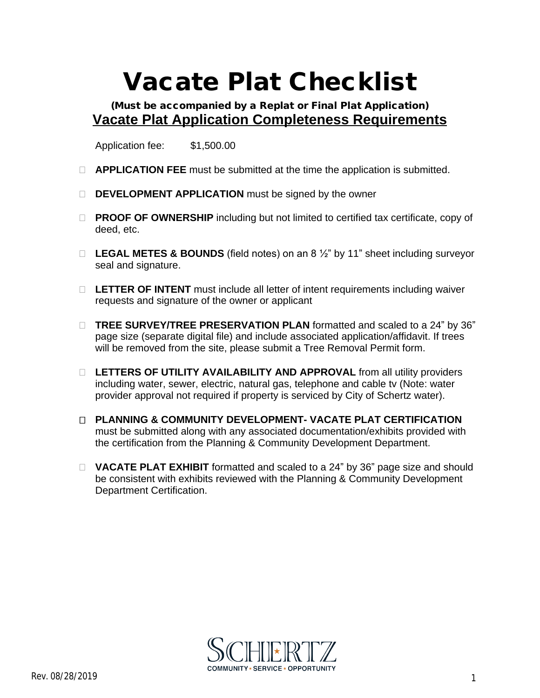## **Vacate Plat Checklist**

**(Must be accompanied by a Replat or Final Plat Application) Vacate Plat Application Completeness Requirements**

Application fee: \$1,500.00

- **APPLICATION FEE** must be submitted at the time the application is submitted.
- **DEVELOPMENT APPLICATION** must be signed by the owner
- **PROOF OF OWNERSHIP** including but not limited to certified tax certificate, copy of deed, etc.
- **LEGAL METES & BOUNDS** (field notes) on an 8 ½" by 11" sheet including surveyor seal and signature.
- □ LETTER OF INTENT must include all letter of intent requirements including waiver requests and signature of the owner or applicant
- **TREE SURVEY/TREE PRESERVATION PLAN** formatted and scaled to a 24" by 36" page size (separate digital file) and include associated application/affidavit. If trees will be removed from the site, please submit a Tree Removal Permit form.
- □ LETTERS OF UTILITY AVAILABILITY AND APPROVAL from all utility providers including water, sewer, electric, natural gas, telephone and cable tv (Note: water provider approval not required if property is serviced by City of Schertz water).
- **PLANNING & COMMUNITY DEVELOPMENT- VACATE PLAT CERTIFICATION**  must be submitted along with any associated documentation/exhibits provided with the certification from the Planning & Community Development Department.
- **VACATE PLAT EXHIBIT** formatted and scaled to a 24" by 36" page size and should be consistent with exhibits reviewed with the Planning & Community Development Department Certification.